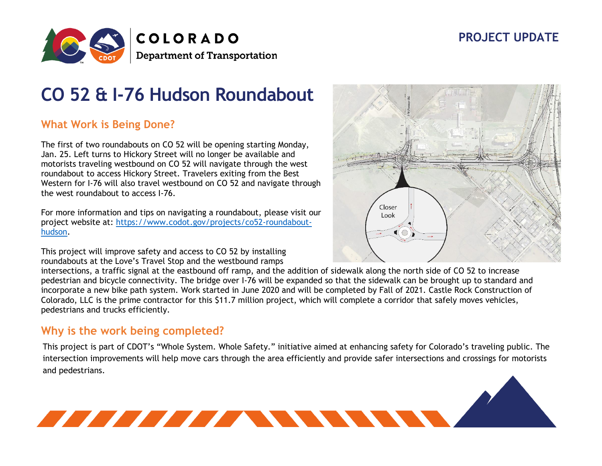## **PROJECT UPDATE**



# **CO 52 & I-76 Hudson Roundabout**

#### **What Work is Being Done?**

The first of two roundabouts on CO 52 will be opening starting Monday, Jan. 25. Left turns to Hickory Street will no longer be available and motorists traveling westbound on CO 52 will navigate through the west roundabout to access Hickory Street. Travelers exiting from the Best Western for I-76 will also travel westbound on CO 52 and navigate through the west roundabout to access I-76.

For more information and tips on navigating a roundabout, please visit our project website at: [https://www.codot.gov/projects/co52-roundabout](https://www.codot.gov/projects/co52-roundabout-hudson)[hudson.](https://www.codot.gov/projects/co52-roundabout-hudson)

This project will improve safety and access to CO 52 by installing roundabouts at the Love's Travel Stop and the westbound ramps

intersections, a traffic signal at the eastbound off ramp, and the addition of sidewalk along the north side of CO 52 to increase pedestrian and bicycle connectivity. The bridge over I-76 will be expanded so that the sidewalk can be brought up to standard and incorporate a new bike path system. Work started in June 2020 and will be completed by Fall of 2021. Castle Rock Construction of Colorado, LLC is the prime contractor for this \$11.7 million project, which will complete a corridor that safely moves vehicles, pedestrians and trucks efficiently.

#### **Why is the work being completed?**

This project is part of CDOT's "Whole System. Whole Safety." initiative aimed at enhancing safety for Colorado's traveling public. The intersection improvements will help move cars through the area efficiently and provide safer intersections and crossings for motorists and pedestrians.